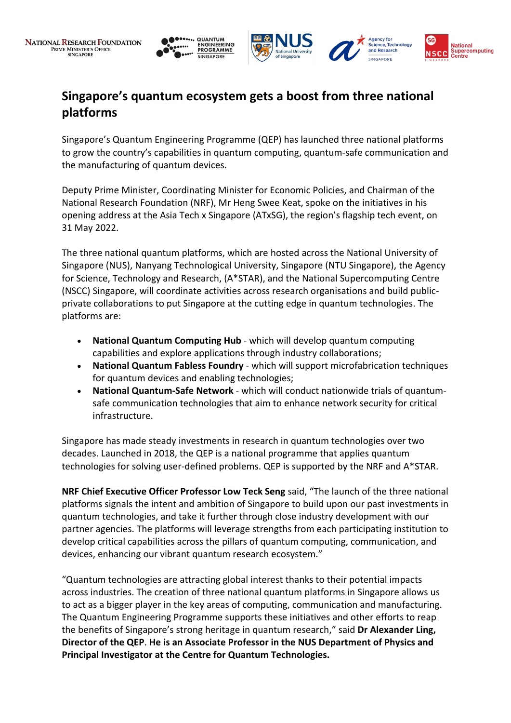



# **Singapore's quantum ecosystem gets a boost from three national platforms**

Singapore's Quantum Engineering Programme (QEP) has launched three national platforms to grow the country's capabilities in quantum computing, quantum-safe communication and the manufacturing of quantum devices.

Deputy Prime Minister, Coordinating Minister for Economic Policies, and Chairman of the National Research Foundation (NRF), Mr Heng Swee Keat, spoke on the initiatives in his opening address at the Asia Tech x Singapore (ATxSG), the region's flagship tech event, on 31 May 2022.

The three national quantum platforms, which are hosted across the National University of Singapore (NUS), Nanyang Technological University, Singapore (NTU Singapore), the Agency for Science, Technology and Research, (A\*STAR), and the National Supercomputing Centre (NSCC) Singapore, will coordinate activities across research organisations and build publicprivate collaborations to put Singapore at the cutting edge in quantum technologies. The platforms are:

- **National Quantum Computing Hub** which will develop quantum computing capabilities and explore applications through industry collaborations;
- **National Quantum Fabless Foundry** which will support microfabrication techniques for quantum devices and enabling technologies;
- **National Quantum-Safe Network** which will conduct nationwide trials of quantumsafe communication technologies that aim to enhance network security for critical infrastructure.

Singapore has made steady investments in research in quantum technologies over two decades. Launched in 2018, the QEP is a national programme that applies quantum technologies for solving user-defined problems. QEP is supported by the NRF and A\*STAR.

**NRF Chief Executive Officer Professor Low Teck Seng** said, "The launch of the three national platforms signals the intent and ambition of Singapore to build upon our past investments in quantum technologies, and take it further through close industry development with our partner agencies. The platforms will leverage strengths from each participating institution to develop critical capabilities across the pillars of quantum computing, communication, and devices, enhancing our vibrant quantum research ecosystem."

"Quantum technologies are attracting global interest thanks to their potential impacts across industries. The creation of three national quantum platforms in Singapore allows us to act as a bigger player in the key areas of computing, communication and manufacturing. The Quantum Engineering Programme supports these initiatives and other efforts to reap the benefits of Singapore's strong heritage in quantum research," said **Dr Alexander Ling, Director of the QEP**. **He is an Associate Professor in the NUS Department of Physics and Principal Investigator at the Centre for Quantum Technologies.**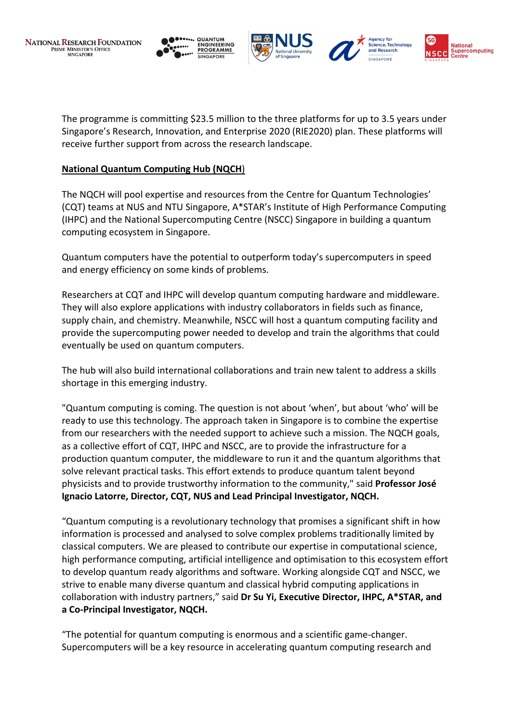





The programme is committing \$23.5 million to the three platforms for up to 3.5 years under Singapore's Research, Innovation, and Enterprise 2020 (RIE2020) plan. These platforms will receive further support from across the research landscape.

## **National Quantum Computing Hub (NQCH**)

The NQCH will pool expertise and resources from the Centre for Quantum Technologies' (CQT) teams at NUS and NTU Singapore, A\*STAR's Institute of High Performance Computing (IHPC) and the National Supercomputing Centre (NSCC) Singapore in building a quantum computing ecosystem in Singapore.

Quantum computers have the potential to outperform today's supercomputers in speed and energy efficiency on some kinds of problems.

Researchers at CQT and IHPC will develop quantum computing hardware and middleware. They will also explore applications with industry collaborators in fields such as finance, supply chain, and chemistry. Meanwhile, NSCC will host a quantum computing facility and provide the supercomputing power needed to develop and train the algorithms that could eventually be used on quantum computers.

The hub will also build international collaborations and train new talent to address a skills shortage in this emerging industry.

"Quantum computing is coming. The question is not about 'when', but about 'who' will be ready to use this technology. The approach taken in Singapore is to combine the expertise from our researchers with the needed support to achieve such a mission. The NQCH goals, as a collective effort of CQT, IHPC and NSCC, are to provide the infrastructure for a production quantum computer, the middleware to run it and the quantum algorithms that solve relevant practical tasks. This effort extends to produce quantum talent beyond physicists and to provide trustworthy information to the community," said **Professor José Ignacio Latorre, Director, CQT, NUS and Lead Principal Investigator, NQCH.**

"Quantum computing is a revolutionary technology that promises a significant shift in how information is processed and analysed to solve complex problems traditionally limited by classical computers. We are pleased to contribute our expertise in computational science, high performance computing, artificial intelligence and optimisation to this ecosystem effort to develop quantum ready algorithms and software. Working alongside CQT and NSCC, we strive to enable many diverse quantum and classical hybrid computing applications in collaboration with industry partners," said **Dr Su Yi, Executive Director, IHPC, A\*STAR, and a Co-Principal Investigator, NQCH.**

"The potential for quantum computing is enormous and a scientific game-changer. Supercomputers will be a key resource in accelerating quantum computing research and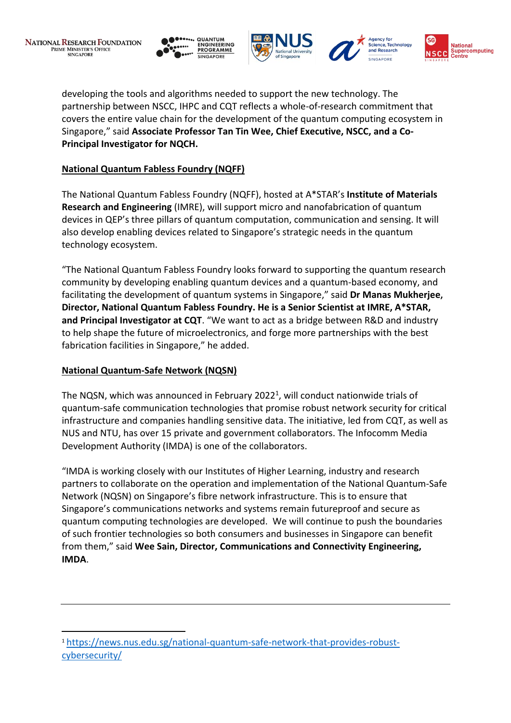







developing the tools and algorithms needed to support the new technology. The partnership between NSCC, IHPC and CQT reflects a whole-of-research commitment that covers the entire value chain for the development of the quantum computing ecosystem in Singapore," said **Associate Professor Tan Tin Wee, Chief Executive, NSCC, and a Co-Principal Investigator for NQCH.** 

# **National Quantum Fabless Foundry (NQFF)**

The National Quantum Fabless Foundry (NQFF), hosted at A\*STAR's **Institute of Materials Research and Engineering** (IMRE), will support micro and nanofabrication of quantum devices in QEP's three pillars of quantum computation, communication and sensing. It will also develop enabling devices related to Singapore's strategic needs in the quantum technology ecosystem.

"The National Quantum Fabless Foundry looks forward to supporting the quantum research community by developing enabling quantum devices and a quantum-based economy, and facilitating the development of quantum systems in Singapore," said **Dr Manas Mukherjee, Director, National Quantum Fabless Foundry. He is a Senior Scientist at IMRE, A\*STAR, and Principal Investigator at CQT**. "We want to act as a bridge between R&D and industry to help shape the future of microelectronics, and forge more partnerships with the best fabrication facilities in Singapore," he added.

## **National Quantum-Safe Network (NQSN)**

The NQSN, which was announced in February 2022<sup>1</sup>, will conduct nationwide trials of quantum-safe communication technologies that promise robust network security for critical infrastructure and companies handling sensitive data. The initiative, led from CQT, as well as NUS and NTU, has over 15 private and government collaborators. The Infocomm Media Development Authority (IMDA) is one of the collaborators.

"IMDA is working closely with our Institutes of Higher Learning, industry and research partners to collaborate on the operation and implementation of the National Quantum-Safe Network (NQSN) on Singapore's fibre network infrastructure. This is to ensure that Singapore's communications networks and systems remain futureproof and secure as quantum computing technologies are developed. We will continue to push the boundaries of such frontier technologies so both consumers and businesses in Singapore can benefit from them," said **Wee Sain, Director, Communications and Connectivity Engineering, IMDA**.

<sup>1</sup> [https://news.nus.edu.sg/national-quantum-safe-network-that-provides-robust](https://news.nus.edu.sg/national-quantum-safe-network-that-provides-robust-cybersecurity/)[cybersecurity/](https://news.nus.edu.sg/national-quantum-safe-network-that-provides-robust-cybersecurity/)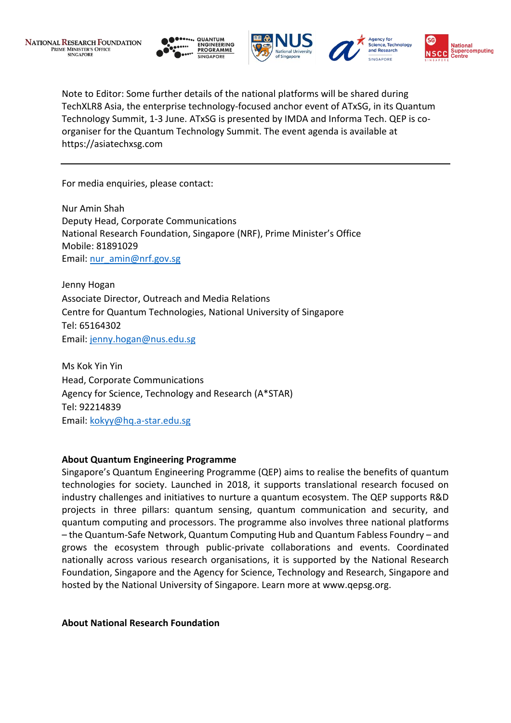





Note to Editor: Some further details of the national platforms will be shared during TechXLR8 Asia, the enterprise technology-focused anchor event of ATxSG, in its Quantum Technology Summit, 1-3 June. ATxSG is presented by IMDA and Informa Tech. QEP is coorganiser for the Quantum Technology Summit. The event agenda is available at https://asiatechxsg.com

For media enquiries, please contact:

Nur Amin Shah Deputy Head, Corporate Communications National Research Foundation, Singapore (NRF), Prime Minister's Office Mobile: 81891029 Email: [nur\\_amin@nrf.gov.sg](mailto:nur_amin@nrf.gov.sg)

Jenny Hogan Associate Director, Outreach and Media Relations Centre for Quantum Technologies, National University of Singapore Tel: 65164302 Email: [jenny.hogan@nus.edu.sg](mailto:jenny.hogan@nus.edu.sg)

Ms Kok Yin Yin Head, Corporate Communications Agency for Science, Technology and Research (A\*STAR) Tel: 92214839 Email: [kokyy@hq.a-star.edu.sg](mailto:kokyy@hq.a-star.edu.sg)

#### **About Quantum Engineering Programme**

Singapore's Quantum Engineering Programme (QEP) aims to realise the benefits of quantum technologies for society. Launched in 2018, it supports translational research focused on industry challenges and initiatives to nurture a quantum ecosystem. The QEP supports R&D projects in three pillars: quantum sensing, quantum communication and security, and quantum computing and processors. The programme also involves three national platforms – the Quantum-Safe Network, Quantum Computing Hub and Quantum Fabless Foundry – and grows the ecosystem through public-private collaborations and events. Coordinated nationally across various research organisations, it is supported by the National Research Foundation, Singapore and the Agency for Science, Technology and Research, Singapore and hosted by the National University of Singapore. Learn more at www.qepsg.org.

**About National Research Foundation**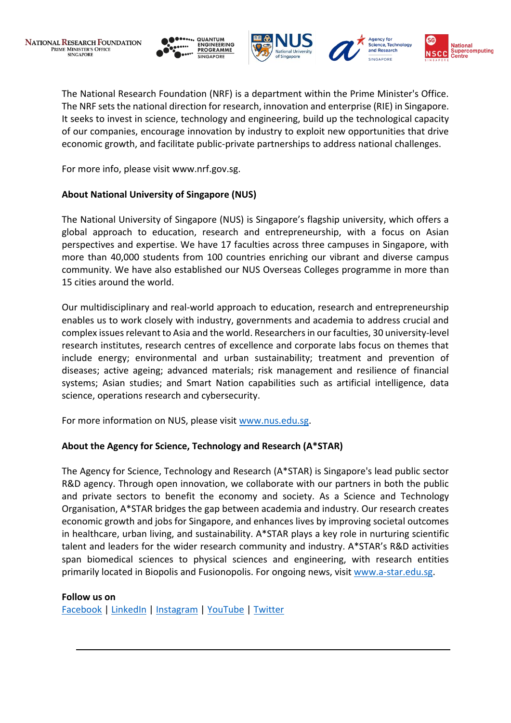





The National Research Foundation (NRF) is a department within the Prime Minister's Office. The NRF sets the national direction for research, innovation and enterprise (RIE) in Singapore. It seeks to invest in science, technology and engineering, build up the technological capacity of our companies, encourage innovation by industry to exploit new opportunities that drive economic growth, and facilitate public-private partnerships to address national challenges.

For more info, please visit www.nrf.gov.sg.

# **About National University of Singapore (NUS)**

The National University of Singapore (NUS) is Singapore's flagship university, which offers a global approach to education, research and entrepreneurship, with a focus on Asian perspectives and expertise. We have 17 faculties across three campuses in Singapore, with more than 40,000 students from 100 countries enriching our vibrant and diverse campus community. We have also established our NUS Overseas Colleges programme in more than 15 cities around the world.

Our multidisciplinary and real-world approach to education, research and entrepreneurship enables us to work closely with industry, governments and academia to address crucial and complex issues relevant to Asia and the world. Researchers in our faculties, 30 university-level research institutes, research centres of excellence and corporate labs focus on themes that include energy; environmental and urban sustainability; treatment and prevention of diseases; active ageing; advanced materials; risk management and resilience of financial systems; Asian studies; and Smart Nation capabilities such as artificial intelligence, data science, operations research and cybersecurity.

For more information on NUS, please visit [www.nus.edu.sg.](http://www.nus.edu.sg/)

# **About the Agency for Science, Technology and Research (A\*STAR)**

The Agency for Science, Technology and Research (A\*STAR) is Singapore's lead public sector R&D agency. Through open innovation, we collaborate with our partners in both the public and private sectors to benefit the economy and society. As a Science and Technology Organisation, A\*STAR bridges the gap between academia and industry. Our research creates economic growth and jobs for Singapore, and enhances lives by improving societal outcomes in healthcare, urban living, and sustainability. A\*STAR plays a key role in nurturing scientific talent and leaders for the wider research community and industry. A\*STAR's R&D activities span biomedical sciences to physical sciences and engineering, with research entities primarily located in Biopolis and Fusionopolis. For ongoing news, visit [www.a-star.edu.sg.](http://www.a-star.edu.sg/)

## **Follow us on**

[Facebook](https://www.facebook.com/ASTARSG/) [| LinkedIn](https://www.linkedin.com/company/astarsg/) | [Instagram](https://www.instagram.com/astarsg/) | [YouTube](https://www.youtube.com/astartv) | [Twitter](https://twitter.com/astarsg)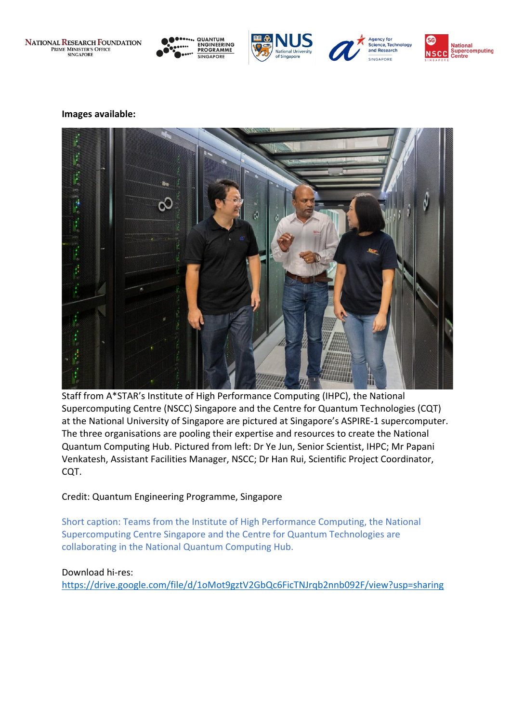**NATIONAL RESEARCH FOUNDATION**<br>PRIME MINISTER'S OFFICE<br>SINGAPORE









#### **Images available:**



Staff from A\*STAR's Institute of High Performance Computing (IHPC), the National Supercomputing Centre (NSCC) Singapore and the Centre for Quantum Technologies (CQT) at the National University of Singapore are pictured at Singapore's ASPIRE-1 supercomputer. The three organisations are pooling their expertise and resources to create the National Quantum Computing Hub. Pictured from left: Dr Ye Jun, Senior Scientist, IHPC; Mr Papani Venkatesh, Assistant Facilities Manager, NSCC; Dr Han Rui, Scientific Project Coordinator, CQT.

## Credit: Quantum Engineering Programme, Singapore

Short caption: Teams from the Institute of High Performance Computing, the National Supercomputing Centre Singapore and the Centre for Quantum Technologies are collaborating in the National Quantum Computing Hub.

#### Download hi-res:

<https://drive.google.com/file/d/1oMot9gztV2GbQc6FicTNJrqb2nnb092F/view?usp=sharing>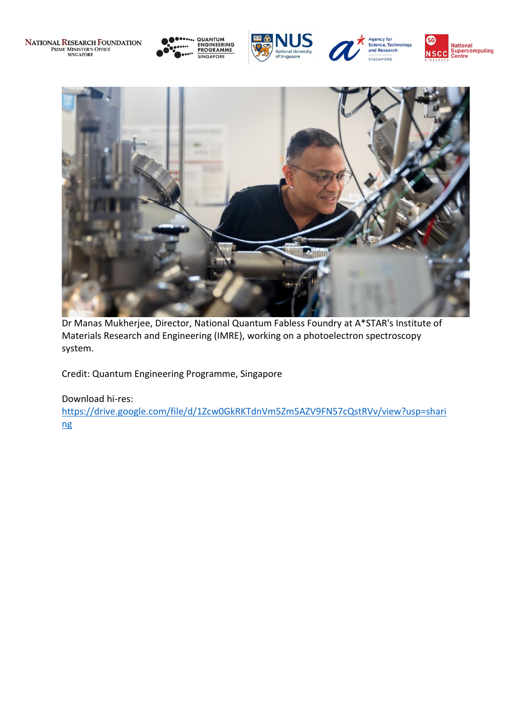**NATIONAL RESEARCH FOUNDATION**<br>PRIME MINISTER'S OFFICE<br>SINGAPORE

**QUANTUM<br>ENGINEERING<br>PROGRAMME SINGAPORE** 









Dr Manas Mukherjee, Director, National Quantum Fabless Foundry at A\*STAR's Institute of Materials Research and Engineering (IMRE), working on a photoelectron spectroscopy system.

Credit: Quantum Engineering Programme, Singapore

# Download hi-res:

[https://drive.google.com/file/d/1Zcw0GkRKTdnVm5Zm5AZV9FN57cQstRVv/view?usp=shari](https://drive.google.com/file/d/1Zcw0GkRKTdnVm5Zm5AZV9FN57cQstRVv/view?usp=sharing) [ng](https://drive.google.com/file/d/1Zcw0GkRKTdnVm5Zm5AZV9FN57cQstRVv/view?usp=sharing)